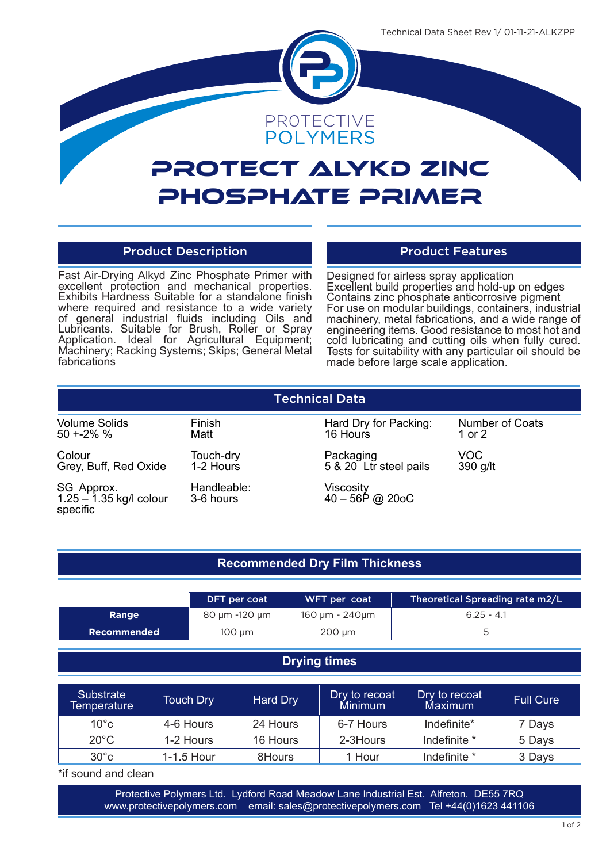

# Protect Alykd Zinc Phosphate Primer

## Product Description **Product Features**

Fast Air-Drying Alkyd Zinc Phosphate Primer with excellent protection and mechanical properties. Exhibits Hardness Suitable for a standalone finish where required and resistance to a wide variety of general industrial fluids including Oils and Lubricants. Suitable for Brush, Roller or Spray Application. Ideal for Agricultural Equipment; Machinery; Racking Systems; Skips; General Metal fabrications

Designed for airless spray application Excellent build properties and hold-up on edges Contains zinc phosphate anticorrosive pigment For use on modular buildings, containers, industrial machinery, metal fabrications, and a wide range of engineering items. Good resistance to most hot and cold lubricating and cutting oils when fully cured. Tests for suitability with any particular oil should be made before large scale application.

| <b>Technical Data</b>                               |                          |                                     |                           |  |  |  |
|-----------------------------------------------------|--------------------------|-------------------------------------|---------------------------|--|--|--|
| <b>Volume Solids</b><br>$50 + 2\%$ %                | Finish<br>Matt           | Hard Dry for Packing:<br>16 Hours   | Number of Coats<br>1 or 2 |  |  |  |
| Colour<br>Grey, Buff, Red Oxide                     | Touch-dry<br>1-2 Hours   | Packaging<br>5 & 20 Ltr steel pails | VOC<br>390 g/lt           |  |  |  |
| SG Approx.<br>$1.25 - 1.35$ kg/l colour<br>specific | Handleable:<br>3-6 hours | Viscosity<br>$40 - 56P$ @ 20oC      |                           |  |  |  |

# **Recommended Dry Film Thickness**

|             | DFT per coat  | WFT per coat   | Theoretical Spreading rate m2/L |
|-------------|---------------|----------------|---------------------------------|
| Range       | 80 µm -120 µm | 160 µm - 240µm | $6.25 - 4.1$                    |
| Recommended | 100 um        | $200 \mu m$    |                                 |
|             |               |                |                                 |

# **Drying times**

| <b>Substrate</b><br>Temperature | <b>Touch Dry</b> | Hard Dry | Dry to recoat<br><b>Minimum</b> | Dry to recoat<br>Maximum | <b>Full Cure</b> |
|---------------------------------|------------------|----------|---------------------------------|--------------------------|------------------|
| $10^{\circ}$ c                  | 4-6 Hours        | 24 Hours | 6-7 Hours                       | Indefinite*              | 7 Days           |
| $20^{\circ}$ C                  | 1-2 Hours        | 16 Hours | 2-3Hours                        | Indefinite *             | 5 Days           |
| $30^{\circ}$ c                  | 1-1.5 Hour       | 8Hours   | Hour                            | Indefinite *             | 3 Days           |

\*if sound and clean

Protective Polymers Ltd. Lydford Road Meadow Lane Industrial Est. Alfreton. DE55 7RQ<br>Protective Polymers Ltd. Lydford Road Meadow Lane Industrial Est. Alfreton. DE55 7RQ www.protectivepolymers.com email: sales@protectivepolymers.com Tel +44(0)1623 441106